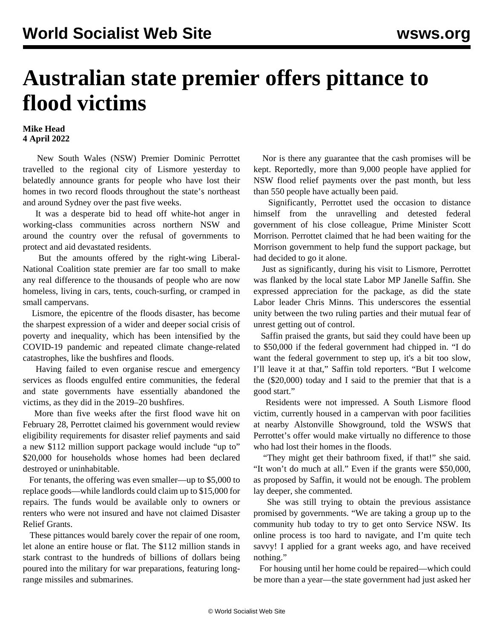## **Australian state premier offers pittance to flood victims**

## **Mike Head 4 April 2022**

 New South Wales (NSW) Premier Dominic Perrottet travelled to the regional city of Lismore yesterday to belatedly announce grants for people who have lost their homes in two record floods throughout the state's northeast and around Sydney over the past five weeks.

 It was a desperate bid to head off white-hot anger in working-class communities across northern NSW and around the country over the refusal of governments to protect and aid devastated residents.

 But the amounts offered by the right-wing Liberal-National Coalition state premier are far too small to make any real difference to the thousands of people who are now homeless, living in cars, tents, couch-surfing, or cramped in small campervans.

 Lismore, the epicentre of the floods disaster, has become the sharpest expression of a wider and deeper social crisis of poverty and inequality, which has been intensified by the COVID-19 pandemic and repeated climate change-related catastrophes, like the bushfires and floods.

 Having failed to even organise rescue and emergency services as floods engulfed entire communities, the federal and state governments have essentially abandoned the victims, as they did in the 2019–20 bushfires.

 More than five weeks after the first flood wave hit on February 28, Perrottet claimed his government would review eligibility requirements for disaster relief payments and said a new \$112 million support package would include "up to" \$20,000 for households whose homes had been declared destroyed or uninhabitable.

 For tenants, the offering was even smaller—up to \$5,000 to replace goods—while landlords could claim up to \$15,000 for repairs. The funds would be available only to owners or renters who were not insured and have not claimed Disaster Relief Grants.

 These pittances would barely cover the repair of one room, let alone an entire house or flat. The \$112 million stands in stark contrast to the hundreds of billions of dollars being poured into the military for war preparations, featuring longrange missiles and submarines.

 Nor is there any guarantee that the cash promises will be kept. Reportedly, more than 9,000 people have applied for NSW flood relief payments over the past month, but less than 550 people have actually been paid.

 Significantly, Perrottet used the occasion to distance himself from the unravelling and detested federal government of his close colleague, Prime Minister Scott Morrison. Perrottet claimed that he had been waiting for the Morrison government to help fund the support package, but had decided to go it alone.

 Just as significantly, during his visit to Lismore, Perrottet was flanked by the local state Labor MP Janelle Saffin. She expressed appreciation for the package, as did the state Labor leader Chris Minns. This underscores the essential unity between the two ruling parties and their mutual fear of unrest getting out of control.

 Saffin praised the grants, but said they could have been up to \$50,000 if the federal government had chipped in. "I do want the federal government to step up, it's a bit too slow, I'll leave it at that," Saffin told reporters. "But I welcome the (\$20,000) today and I said to the premier that that is a good start."

 Residents were not impressed. A South Lismore flood victim, currently housed in a campervan with poor facilities at nearby Alstonville Showground, told the WSWS that Perrottet's offer would make virtually no difference to those who had lost their homes in the floods.

 "They might get their bathroom fixed, if that!" she said. "It won't do much at all." Even if the grants were \$50,000, as proposed by Saffin, it would not be enough. The problem lay deeper, she commented.

 She was still trying to obtain the previous assistance promised by governments. "We are taking a group up to the community hub today to try to get onto Service NSW. Its online process is too hard to navigate, and I'm quite tech savvy! I applied for a grant weeks ago, and have received nothing."

 For housing until her home could be repaired—which could be more than a year—the state government had just asked her